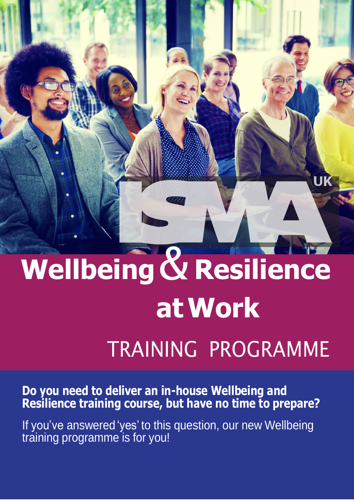

# **Wellbeing**& **Resilience atWork**

## TRAINING PROGRAMME

**Do you need to deliver an in-house Wellbeing and Resilience training course, but have no time to prepare?**

If you've answered 'yes' to this question, our new Wellbeing training programme is for you!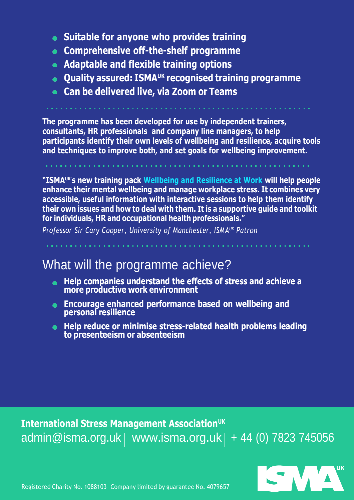- **Suitable for anyone who provides training**
- **Comprehensive off-the-shelf programme**
- **Adaptable and flexible training options**
- **Quality assured: ISMAUK recognised training programme**
- **Can be delivered live, via Zoom or Teams**

**The programme has been developed for use by independent trainers, consultants, HR professionals and company line managers, to help participants identify their own levels of wellbeing and resilience, acquire tools and techniques to improve both, and set goals for wellbeing improvement.**

**"ISMAUK's new training pack Wellbeing and Resilience at Work will help people enhance their mental wellbeing and manage workplace stress. It combines very accessible, useful information with interactive sessions to help them identify their own issues and how to deal with them. It is a supportive guide and toolkit for individuals, HR and occupational health professionals."**

*Professor Sir Cary Cooper, University of Manchester, ISMAUK Patron*

#### What will the programme achieve?

- **Help companies understand the effects of stress and achieve a**  $\bullet$ **more productive work environment**
- **Encourage enhanced performance based on wellbeing and personal resilience**
- **Help reduce or minimise stress-related health problems leading to presenteeism or absenteeism**

**International Stress Management AssociationUK**  $admin@isma.org.uk$  [www.isma.org.uk](http://www.isma.org.uk/) | + 44 (0) 7823 745056